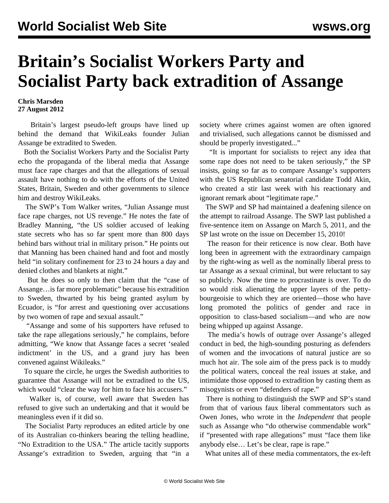## **Britain's Socialist Workers Party and Socialist Party back extradition of Assange**

**Chris Marsden 27 August 2012**

 Britain's largest pseudo-left groups have lined up behind the demand that WikiLeaks founder Julian Assange be extradited to Sweden.

 Both the Socialist Workers Party and the Socialist Party echo the propaganda of the liberal media that Assange must face rape charges and that the allegations of sexual assault have nothing to do with the efforts of the United States, Britain, Sweden and other governments to silence him and destroy WikiLeaks.

 The SWP's Tom Walker writes, "Julian Assange must face rape charges, not US revenge." He notes the fate of Bradley Manning, "the US soldier accused of leaking state secrets who has so far spent more than 800 days behind bars without trial in military prison." He points out that Manning has been chained hand and foot and mostly held "in solitary confinement for 23 to 24 hours a day and denied clothes and blankets at night."

 But he does so only to then claim that the "case of Assange…is far more problematic" because his extradition to Sweden, thwarted by his being granted asylum by Ecuador, is "for arrest and questioning over accusations by two women of rape and sexual assault."

 "Assange and some of his supporters have refused to take the rape allegations seriously," he complains, before admitting, "We know that Assange faces a secret 'sealed indictment' in the US, and a grand jury has been convened against Wikileaks."

 To square the circle, he urges the Swedish authorities to guarantee that Assange will not be extradited to the US, which would "clear the way for him to face his accusers."

 Walker is, of course, well aware that Sweden has refused to give such an undertaking and that it would be meaningless even if it did so.

 The Socialist Party reproduces an edited article by one of its Australian co-thinkers bearing the telling headline, "No Extradition to the USA." The article tacitly supports Assange's extradition to Sweden, arguing that "in a society where crimes against women are often ignored and trivialised, such allegations cannot be dismissed and should be properly investigated..."

 "It is important for socialists to reject any idea that some rape does not need to be taken seriously," the SP insists, going so far as to compare Assange's supporters with the US Republican senatorial candidate Todd Akin, who created a stir last week with his reactionary and ignorant remark about "legitimate rape."

 The SWP and SP had maintained a deafening silence on the attempt to railroad Assange. The SWP last published a five-sentence item on Assange on March 5, 2011, and the SP last wrote on the issue on December 15, 2010!

 The reason for their reticence is now clear. Both have long been in agreement with the extraordinary campaign by the right-wing as well as the nominally liberal press to tar Assange as a sexual criminal, but were reluctant to say so publicly. Now the time to procrastinate is over. To do so would risk alienating the upper layers of the pettybourgeoisie to which they are oriented—those who have long promoted the politics of gender and race in opposition to class-based socialism—and who are now being whipped up against Assange.

 The media's howls of outrage over Assange's alleged conduct in bed, the high-sounding posturing as defenders of women and the invocations of natural justice are so much hot air. The sole aim of the press pack is to muddy the political waters, conceal the real issues at stake, and intimidate those opposed to extradition by casting them as misogynists or even "defenders of rape."

 There is nothing to distinguish the SWP and SP's stand from that of various faux liberal commentators such as Owen Jones, who wrote in the *Independent* that people such as Assange who "do otherwise commendable work" if "presented with rape allegations" must "face them like anybody else… Let's be clear, rape is rape."

What unites all of these media commentators, the ex-left